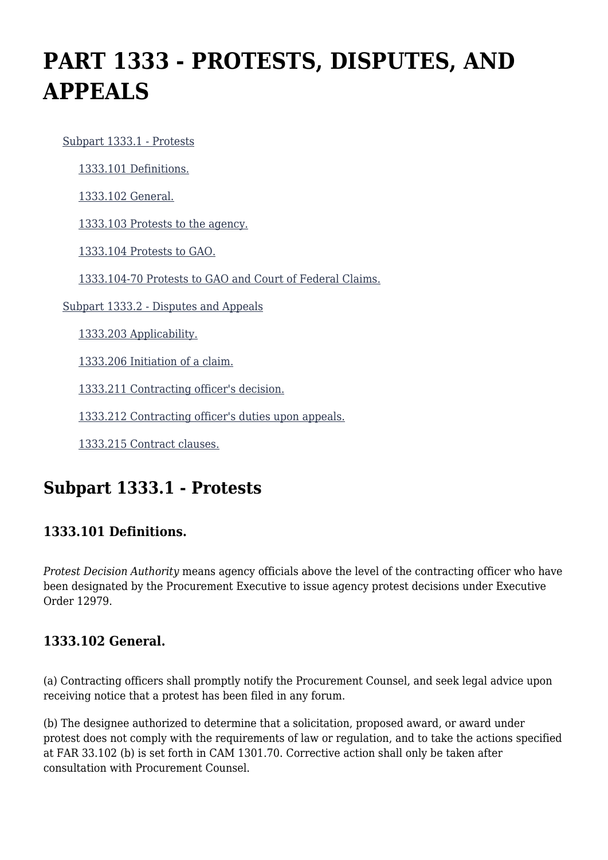# **PART 1333 - PROTESTS, DISPUTES, AND APPEALS**

 [Subpart 1333.1 - Protests](https://login.acquisition.gov/%5Brp:link:car-part-1333%5D#Subpart_1333_1_T48_50647311) [1333.101 Definitions.](https://login.acquisition.gov/%5Brp:link:car-part-1333%5D#Section_1333_101_T48_5064731111) [1333.102 General.](https://login.acquisition.gov/%5Brp:link:car-part-1333%5D#Section_1333_102_T48_5064731112) [1333.103 Protests to the agency.](https://login.acquisition.gov/%5Brp:link:car-part-1333%5D#Section_1333_103_T48_5064731113) [1333.104 Protests to GAO.](https://login.acquisition.gov/%5Brp:link:car-part-1333%5D#Section_1333_104_T48_5064731114) [1333.104-70 Protests to GAO and Court of Federal Claims.](https://login.acquisition.gov/%5Brp:link:car-part-1333%5D#Section_1333_104_70_T48_5064731115) [Subpart 1333.2 - Disputes and Appeals](https://login.acquisition.gov/%5Brp:link:car-part-1333%5D#Subpart_1333_2_T48_50647312) [1333.203 Applicability.](https://login.acquisition.gov/%5Brp:link:car-part-1333%5D#Section_1333_203_T48_5064731211) [1333.206 Initiation of a claim.](https://login.acquisition.gov/%5Brp:link:car-part-1333%5D#Section_1333_206_T48_5064731212) [1333.211 Contracting officer's decision.](https://login.acquisition.gov/%5Brp:link:car-part-1333%5D#Section_1333_211_T48_5064731213) [1333.212 Contracting officer's duties upon appeals.](https://login.acquisition.gov/%5Brp:link:car-part-1333%5D#Section_1333_212_T48_5064731214) [1333.215 Contract clauses.](https://login.acquisition.gov/%5Brp:link:car-part-1333%5D#Section_1333_215_T48_5064731215)

# **Subpart 1333.1 - Protests**

# **1333.101 Definitions.**

*Protest Decision Authority* means agency officials above the level of the contracting officer who have been designated by the Procurement Executive to issue agency protest decisions under Executive Order 12979.

# **1333.102 General.**

(a) Contracting officers shall promptly notify the Procurement Counsel, and seek legal advice upon receiving notice that a protest has been filed in any forum.

(b) The designee authorized to determine that a solicitation, proposed award, or award under protest does not comply with the requirements of law or regulation, and to take the actions specified at FAR 33.102 (b) is set forth in CAM 1301.70. Corrective action shall only be taken after consultation with Procurement Counsel.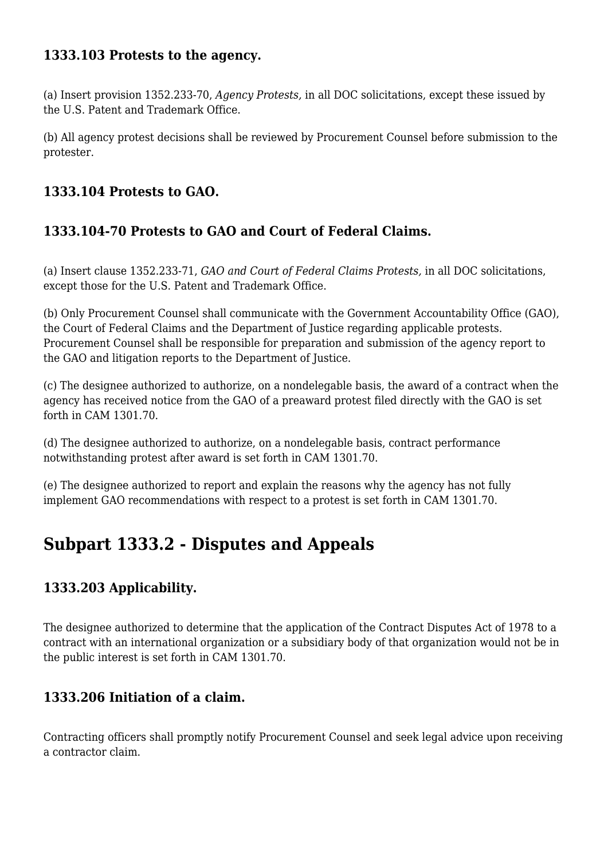### **1333.103 Protests to the agency.**

(a) Insert provision 1352.233-70, *Agency Protests,* in all DOC solicitations, except these issued by the U.S. Patent and Trademark Office.

(b) All agency protest decisions shall be reviewed by Procurement Counsel before submission to the protester.

### **1333.104 Protests to GAO.**

# **1333.104-70 Protests to GAO and Court of Federal Claims.**

(a) Insert clause 1352.233-71, *GAO and Court of Federal Claims Protests,* in all DOC solicitations, except those for the U.S. Patent and Trademark Office.

(b) Only Procurement Counsel shall communicate with the Government Accountability Office (GAO), the Court of Federal Claims and the Department of Justice regarding applicable protests. Procurement Counsel shall be responsible for preparation and submission of the agency report to the GAO and litigation reports to the Department of Justice.

(c) The designee authorized to authorize, on a nondelegable basis, the award of a contract when the agency has received notice from the GAO of a preaward protest filed directly with the GAO is set forth in CAM 1301.70.

(d) The designee authorized to authorize, on a nondelegable basis, contract performance notwithstanding protest after award is set forth in CAM 1301.70.

(e) The designee authorized to report and explain the reasons why the agency has not fully implement GAO recommendations with respect to a protest is set forth in CAM 1301.70.

# **Subpart 1333.2 - Disputes and Appeals**

# **1333.203 Applicability.**

The designee authorized to determine that the application of the Contract Disputes Act of 1978 to a contract with an international organization or a subsidiary body of that organization would not be in the public interest is set forth in CAM 1301.70.

### **1333.206 Initiation of a claim.**

Contracting officers shall promptly notify Procurement Counsel and seek legal advice upon receiving a contractor claim.